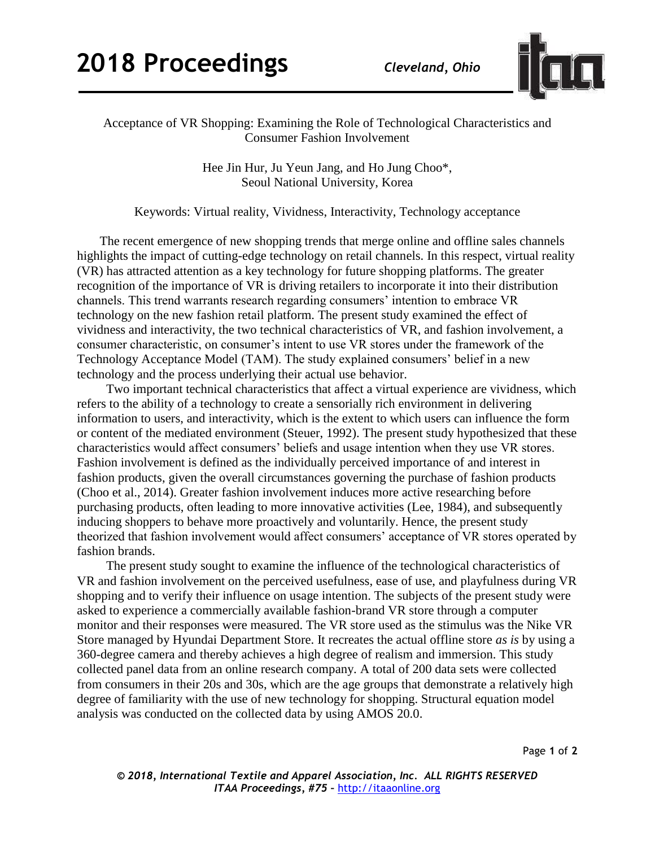

Acceptance of VR Shopping: Examining the Role of Technological Characteristics and Consumer Fashion Involvement

> Hee Jin Hur, Ju Yeun Jang, and Ho Jung Choo\*, Seoul National University, Korea

Keywords: Virtual reality, Vividness, Interactivity, Technology acceptance

The recent emergence of new shopping trends that merge online and offline sales channels highlights the impact of cutting-edge technology on retail channels. In this respect, virtual reality (VR) has attracted attention as a key technology for future shopping platforms. The greater recognition of the importance of VR is driving retailers to incorporate it into their distribution channels. This trend warrants research regarding consumers' intention to embrace VR technology on the new fashion retail platform. The present study examined the effect of vividness and interactivity, the two technical characteristics of VR, and fashion involvement, a consumer characteristic, on consumer's intent to use VR stores under the framework of the Technology Acceptance Model (TAM). The study explained consumers' belief in a new technology and the process underlying their actual use behavior.

 Two important technical characteristics that affect a virtual experience are vividness, which refers to the ability of a technology to create a sensorially rich environment in delivering information to users, and interactivity, which is the extent to which users can influence the form or content of the mediated environment (Steuer, 1992). The present study hypothesized that these characteristics would affect consumers' beliefs and usage intention when they use VR stores. Fashion involvement is defined as the individually perceived importance of and interest in fashion products, given the overall circumstances governing the purchase of fashion products (Choo et al., 2014). Greater fashion involvement induces more active researching before purchasing products, often leading to more innovative activities (Lee, 1984), and subsequently inducing shoppers to behave more proactively and voluntarily. Hence, the present study theorized that fashion involvement would affect consumers' acceptance of VR stores operated by fashion brands.

 The present study sought to examine the influence of the technological characteristics of VR and fashion involvement on the perceived usefulness, ease of use, and playfulness during VR shopping and to verify their influence on usage intention. The subjects of the present study were asked to experience a commercially available fashion-brand VR store through a computer monitor and their responses were measured. The VR store used as the stimulus was the Nike VR Store managed by Hyundai Department Store. It recreates the actual offline store *as is* by using a 360-degree camera and thereby achieves a high degree of realism and immersion. This study collected panel data from an online research company. A total of 200 data sets were collected from consumers in their 20s and 30s, which are the age groups that demonstrate a relatively high degree of familiarity with the use of new technology for shopping. Structural equation model analysis was conducted on the collected data by using AMOS 20.0.

Page **1** of **2**